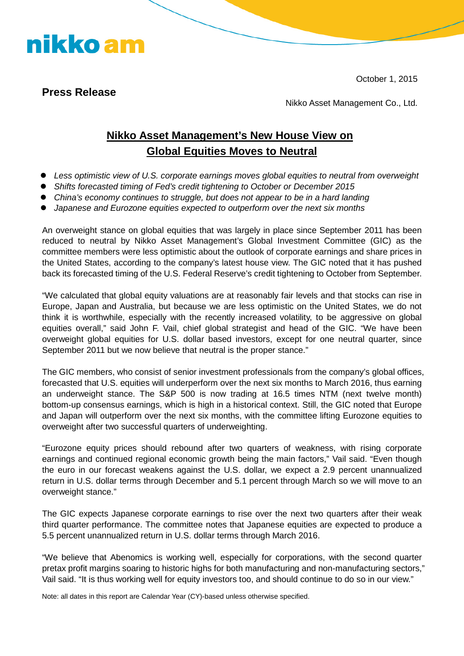October 1, 2015

### **Press Release**

nikko am

Nikko Asset Management Co., Ltd.

## **Nikko Asset Management's New House View on Global Equities Moves to Neutral**

- *Less optimistic view of U.S. corporate earnings moves global equities to neutral from overweight*
- *Shifts forecasted timing of Fed's credit tightening to October or December 2015*
- *China's economy continues to struggle, but does not appear to be in a hard landing*
- *Japanese and Eurozone equities expected to outperform over the next six months*

An overweight stance on global equities that was largely in place since September 2011 has been reduced to neutral by Nikko Asset Management's Global Investment Committee (GIC) as the committee members were less optimistic about the outlook of corporate earnings and share prices in the United States, according to the company's latest house view. The GIC noted that it has pushed back its forecasted timing of the U.S. Federal Reserve's credit tightening to October from September.

"We calculated that global equity valuations are at reasonably fair levels and that stocks can rise in Europe, Japan and Australia, but because we are less optimistic on the United States, we do not think it is worthwhile, especially with the recently increased volatility, to be aggressive on global equities overall," said John F. Vail, chief global strategist and head of the GIC. "We have been overweight global equities for U.S. dollar based investors, except for one neutral quarter, since September 2011 but we now believe that neutral is the proper stance."

The GIC members, who consist of senior investment professionals from the company's global offices, forecasted that U.S. equities will underperform over the next six months to March 2016, thus earning an underweight stance. The S&P 500 is now trading at 16.5 times NTM (next twelve month) bottom-up consensus earnings, which is high in a historical context. Still, the GIC noted that Europe and Japan will outperform over the next six months, with the committee lifting Eurozone equities to overweight after two successful quarters of underweighting.

"Eurozone equity prices should rebound after two quarters of weakness, with rising corporate earnings and continued regional economic growth being the main factors," Vail said. "Even though the euro in our forecast weakens against the U.S. dollar, we expect a 2.9 percent unannualized return in U.S. dollar terms through December and 5.1 percent through March so we will move to an overweight stance."

The GIC expects Japanese corporate earnings to rise over the next two quarters after their weak third quarter performance. The committee notes that Japanese equities are expected to produce a 5.5 percent unannualized return in U.S. dollar terms through March 2016.

"We believe that Abenomics is working well, especially for corporations, with the second quarter pretax profit margins soaring to historic highs for both manufacturing and non-manufacturing sectors," Vail said. "It is thus working well for equity investors too, and should continue to do so in our view."

Note: all dates in this report are Calendar Year (CY)-based unless otherwise specified.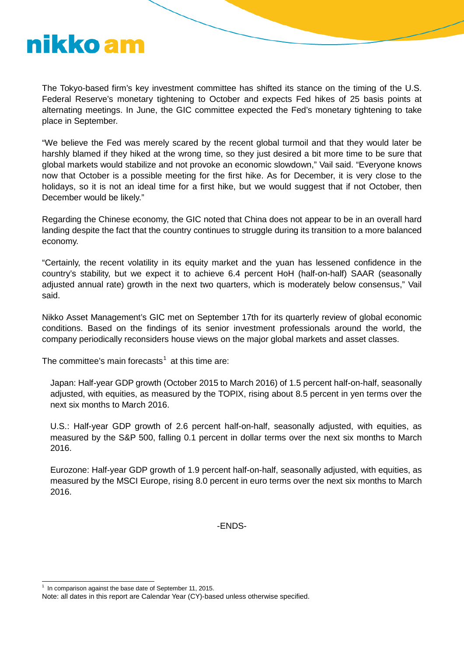# nikko am

The Tokyo-based firm's key investment committee has shifted its stance on the timing of the U.S. Federal Reserve's monetary tightening to October and expects Fed hikes of 25 basis points at alternating meetings. In June, the GIC committee expected the Fed's monetary tightening to take place in September.

"We believe the Fed was merely scared by the recent global turmoil and that they would later be harshly blamed if they hiked at the wrong time, so they just desired a bit more time to be sure that global markets would stabilize and not provoke an economic slowdown," Vail said. "Everyone knows now that October is a possible meeting for the first hike. As for December, it is very close to the holidays, so it is not an ideal time for a first hike, but we would suggest that if not October, then December would be likely."

Regarding the Chinese economy, the GIC noted that China does not appear to be in an overall hard landing despite the fact that the country continues to struggle during its transition to a more balanced economy.

"Certainly, the recent volatility in its equity market and the yuan has lessened confidence in the country's stability, but we expect it to achieve 6.4 percent HoH (half-on-half) SAAR (seasonally adjusted annual rate) growth in the next two quarters, which is moderately below consensus," Vail said.

Nikko Asset Management's GIC met on September 17th for its quarterly review of global economic conditions. Based on the findings of its senior investment professionals around the world, the company periodically reconsiders house views on the major global markets and asset classes.

The committee's main forecasts<sup>[1](#page-1-0)</sup> at this time are:

Japan: Half-year GDP growth (October 2015 to March 2016) of 1.5 percent half-on-half, seasonally adjusted, with equities, as measured by the TOPIX, rising about 8.5 percent in yen terms over the next six months to March 2016.

U.S.: Half-year GDP growth of 2.6 percent half-on-half, seasonally adjusted, with equities, as measured by the S&P 500, falling 0.1 percent in dollar terms over the next six months to March 2016.

Eurozone: Half-year GDP growth of 1.9 percent half-on-half, seasonally adjusted, with equities, as measured by the MSCI Europe, rising 8.0 percent in euro terms over the next six months to March 2016.

-ENDS-

 $1$  In comparison against the base date of September 11, 2015.  $\overline{1}$ 

<span id="page-1-0"></span>Note: all dates in this report are Calendar Year (CY)-based unless otherwise specified.